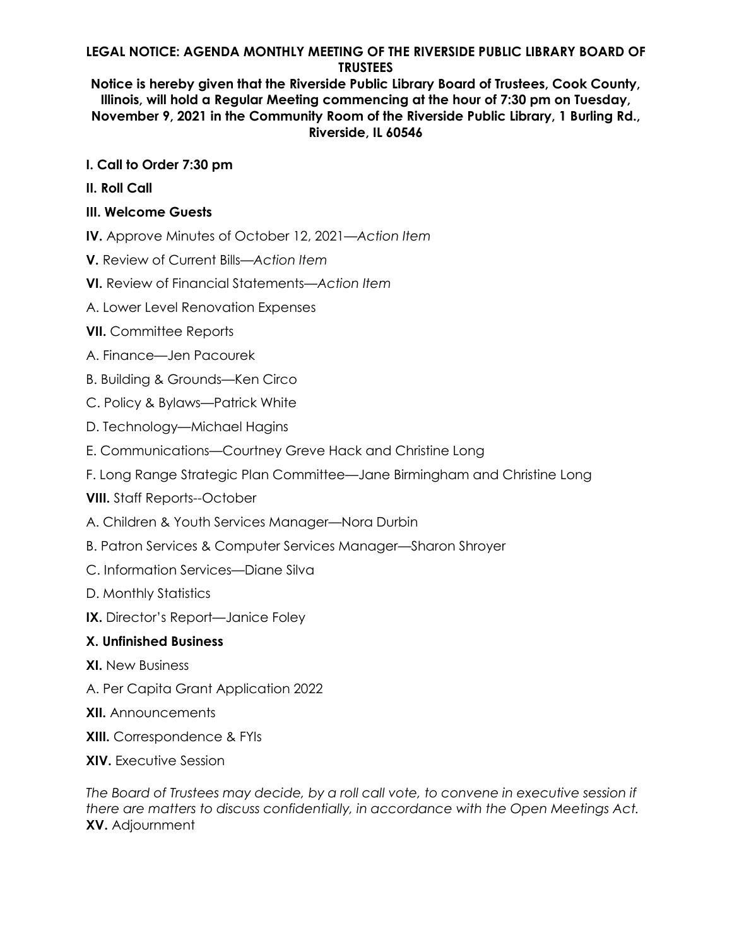## **LEGAL NOTICE: AGENDA MONTHLY MEETING OF THE RIVERSIDE PUBLIC LIBRARY BOARD OF TRUSTEES**

**Notice is hereby given that the Riverside Public Library Board of Trustees, Cook County, Illinois, will hold a Regular Meeting commencing at the hour of 7:30 pm on Tuesday, November 9, 2021 in the Community Room of the Riverside Public Library, 1 Burling Rd., Riverside, IL 60546**

- **I. Call to Order 7:30 pm**
- **II. Roll Call**

## **III. Welcome Guests**

**IV.** Approve Minutes of October 12, 2021*—Action Item* 

**V.** Review of Current Bills*—Action Item* 

**VI.** Review of Financial Statements*—Action Item* 

- A. Lower Level Renovation Expenses
- **VII.** Committee Reports
- A. Finance—Jen Pacourek
- B. Building & Grounds—Ken Circo
- C. Policy & Bylaws—Patrick White
- D. Technology—Michael Hagins
- E. Communications—Courtney Greve Hack and Christine Long
- F. Long Range Strategic Plan Committee—Jane Birmingham and Christine Long
- **VIII.** Staff Reports--October
- A. Children & Youth Services Manager—Nora Durbin
- B. Patron Services & Computer Services Manager—Sharon Shroyer
- C. Information Services—Diane Silva
- D. Monthly Statistics
- **IX.** Director's Report—Janice Foley

## **X. Unfinished Business**

- **XI.** New Business
- A. Per Capita Grant Application 2022
- **XII.** Announcements
- **XIII.** Correspondence & FYIs
- **XIV.** Executive Session

*The Board of Trustees may decide, by a roll call vote, to convene in executive session if there are matters to discuss confidentially, in accordance with the Open Meetings Act.*  **XV.** Adjournment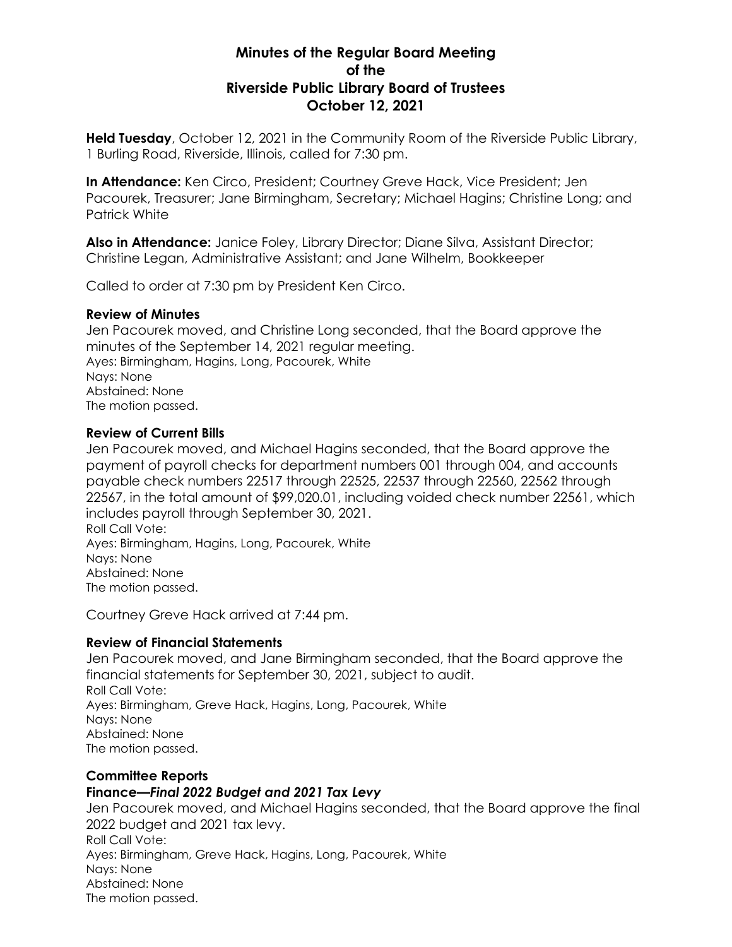# **Minutes of the Regular Board Meeting of the Riverside Public Library Board of Trustees October 12, 2021**

**Held Tuesday**, October 12, 2021 in the Community Room of the Riverside Public Library, 1 Burling Road, Riverside, Illinois, called for 7:30 pm.

**In Attendance:** Ken Circo, President; Courtney Greve Hack, Vice President; Jen Pacourek, Treasurer; Jane Birmingham, Secretary; Michael Hagins; Christine Long; and Patrick White

**Also in Attendance:** Janice Foley, Library Director; Diane Silva, Assistant Director; Christine Legan, Administrative Assistant; and Jane Wilhelm, Bookkeeper

Called to order at 7:30 pm by President Ken Circo.

### **Review of Minutes**

Jen Pacourek moved, and Christine Long seconded, that the Board approve the minutes of the September 14, 2021 regular meeting. Ayes: Birmingham, Hagins, Long, Pacourek, White Nays: None Abstained: None The motion passed.

### **Review of Current Bills**

Jen Pacourek moved, and Michael Hagins seconded, that the Board approve the payment of payroll checks for department numbers 001 through 004, and accounts payable check numbers 22517 through 22525, 22537 through 22560, 22562 through 22567, in the total amount of \$99,020.01, including voided check number 22561, which includes payroll through September 30, 2021. Roll Call Vote:

Ayes: Birmingham, Hagins, Long, Pacourek, White Nays: None Abstained: None The motion passed.

Courtney Greve Hack arrived at 7:44 pm.

## **Review of Financial Statements**

Jen Pacourek moved, and Jane Birmingham seconded, that the Board approve the financial statements for September 30, 2021, subject to audit. Roll Call Vote: Ayes: Birmingham, Greve Hack, Hagins, Long, Pacourek, White Nays: None Abstained: None The motion passed.

# **Committee Reports Finance***—Final 2022 Budget and 2021 Tax Levy*

Jen Pacourek moved, and Michael Hagins seconded, that the Board approve the final 2022 budget and 2021 tax levy. Roll Call Vote: Ayes: Birmingham, Greve Hack, Hagins, Long, Pacourek, White Nays: None Abstained: None The motion passed.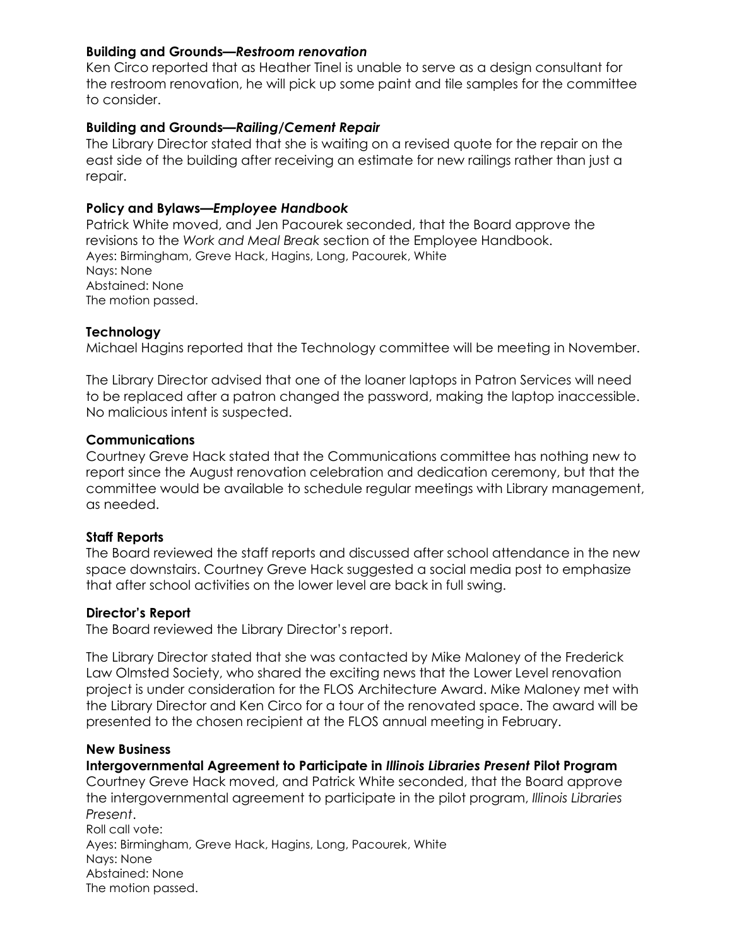### **Building and Grounds***—Restroom renovation*

Ken Circo reported that as Heather Tinel is unable to serve as a design consultant for the restroom renovation, he will pick up some paint and tile samples for the committee to consider.

### **Building and Grounds***—Railing/Cement Repair*

The Library Director stated that she is waiting on a revised quote for the repair on the east side of the building after receiving an estimate for new railings rather than just a repair.

### **Policy and Bylaws—***Employee Handbook*

Patrick White moved, and Jen Pacourek seconded, that the Board approve the revisions to the *Work and Meal Break* section of the Employee Handbook. Ayes: Birmingham, Greve Hack, Hagins, Long, Pacourek, White Nays: None Abstained: None The motion passed.

### **Technology**

Michael Hagins reported that the Technology committee will be meeting in November.

The Library Director advised that one of the loaner laptops in Patron Services will need to be replaced after a patron changed the password, making the laptop inaccessible. No malicious intent is suspected.

### **Communications**

Courtney Greve Hack stated that the Communications committee has nothing new to report since the August renovation celebration and dedication ceremony, but that the committee would be available to schedule regular meetings with Library management, as needed.

### **Staff Reports**

The Board reviewed the staff reports and discussed after school attendance in the new space downstairs. Courtney Greve Hack suggested a social media post to emphasize that after school activities on the lower level are back in full swing.

### **Director's Report**

The Board reviewed the Library Director's report.

The Library Director stated that she was contacted by Mike Maloney of the Frederick Law Olmsted Society, who shared the exciting news that the Lower Level renovation project is under consideration for the FLOS Architecture Award. Mike Maloney met with the Library Director and Ken Circo for a tour of the renovated space. The award will be presented to the chosen recipient at the FLOS annual meeting in February.

### **New Business**

**Intergovernmental Agreement to Participate in** *Illinois Libraries Present* **Pilot Program** Courtney Greve Hack moved, and Patrick White seconded, that the Board approve the intergovernmental agreement to participate in the pilot program, *Illinois Libraries Present*. Roll call vote: Ayes: Birmingham, Greve Hack, Hagins, Long, Pacourek, White Nays: None Abstained: None The motion passed.